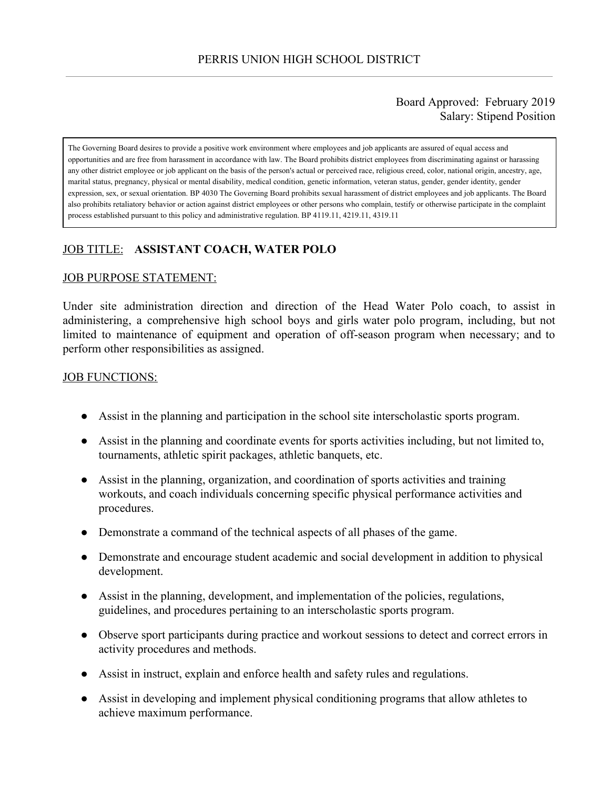## Board Approved: February 2019 Salary: Stipend Position

The Governing Board desires to provide a positive work environment where employees and job applicants are assured of equal access and opportunities and are free from harassment in accordance with law. The Board prohibits district employees from discriminating against or harassing any other district employee or job applicant on the basis of the person's actual or perceived race, religious creed, color, national origin, ancestry, age, marital status, pregnancy, physical or mental disability, medical condition, genetic information, veteran status, gender, gender identity, gender expression, sex, or sexual orientation. BP 4030 The Governing Board prohibits sexual harassment of district employees and job applicants. The Board also prohibits retaliatory behavior or action against district employees or other persons who complain, testify or otherwise participate in the complaint process established pursuant to this policy and administrative regulation. BP 4119.11, 4219.11, 4319.11

# JOB TITLE: **ASSISTANT COACH, WATER POLO**

### JOB PURPOSE STATEMENT:

Under site administration direction and direction of the Head Water Polo coach, to assist in administering, a comprehensive high school boys and girls water polo program, including, but not limited to maintenance of equipment and operation of off-season program when necessary; and to perform other responsibilities as assigned.

#### **JOB FUNCTIONS:**

- Assist in the planning and participation in the school site interscholastic sports program.
- Assist in the planning and coordinate events for sports activities including, but not limited to, tournaments, athletic spirit packages, athletic banquets, etc.
- Assist in the planning, organization, and coordination of sports activities and training workouts, and coach individuals concerning specific physical performance activities and procedures.
- Demonstrate a command of the technical aspects of all phases of the game.
- Demonstrate and encourage student academic and social development in addition to physical development.
- Assist in the planning, development, and implementation of the policies, regulations, guidelines, and procedures pertaining to an interscholastic sports program.
- Observe sport participants during practice and workout sessions to detect and correct errors in activity procedures and methods.
- Assist in instruct, explain and enforce health and safety rules and regulations.
- Assist in developing and implement physical conditioning programs that allow athletes to achieve maximum performance.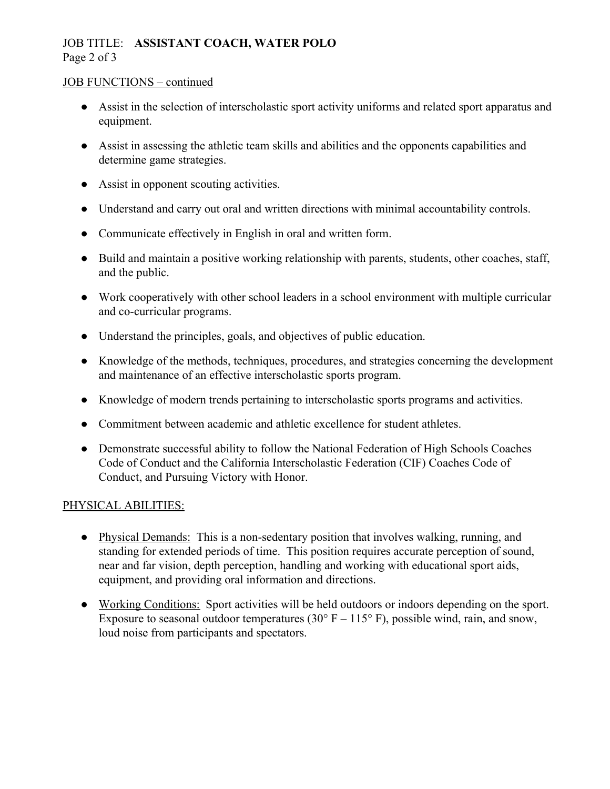# JOB TITLE: **ASSISTANT COACH, WATER POLO** Page 2 of 3

### JOB FUNCTIONS – continued

- Assist in the selection of interscholastic sport activity uniforms and related sport apparatus and equipment.
- Assist in assessing the athletic team skills and abilities and the opponents capabilities and determine game strategies.
- Assist in opponent scouting activities.
- Understand and carry out oral and written directions with minimal accountability controls.
- Communicate effectively in English in oral and written form.
- Build and maintain a positive working relationship with parents, students, other coaches, staff, and the public.
- Work cooperatively with other school leaders in a school environment with multiple curricular and co-curricular programs.
- Understand the principles, goals, and objectives of public education.
- Knowledge of the methods, techniques, procedures, and strategies concerning the development and maintenance of an effective interscholastic sports program.
- Knowledge of modern trends pertaining to interscholastic sports programs and activities.
- Commitment between academic and athletic excellence for student athletes.
- Demonstrate successful ability to follow the National Federation of High Schools Coaches Code of Conduct and the California Interscholastic Federation (CIF) Coaches Code of Conduct, and Pursuing Victory with Honor.

## PHYSICAL ABILITIES:

- Physical Demands: This is a non-sedentary position that involves walking, running, and standing for extended periods of time. This position requires accurate perception of sound, near and far vision, depth perception, handling and working with educational sport aids, equipment, and providing oral information and directions.
- Working Conditions: Sport activities will be held outdoors or indoors depending on the sport. Exposure to seasonal outdoor temperatures (30 $\degree$  F – 115 $\degree$  F), possible wind, rain, and snow, loud noise from participants and spectators.